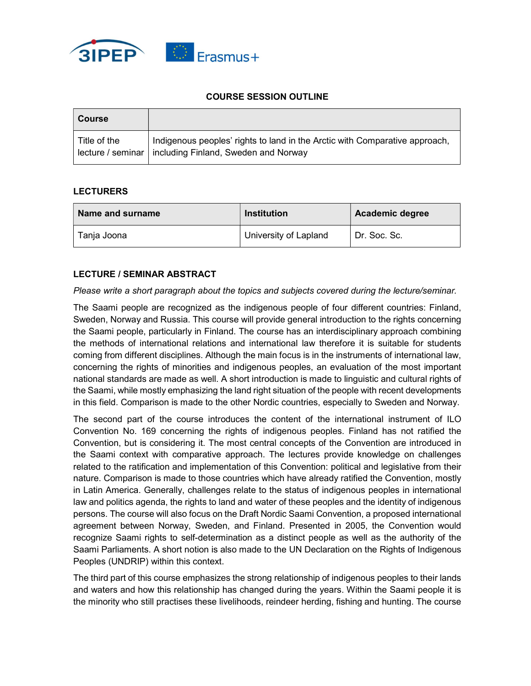

## COURSE SESSION OUTLINE

| <b>Course</b> |                                                                                                                                         |
|---------------|-----------------------------------------------------------------------------------------------------------------------------------------|
| Title of the  | Indigenous peoples' rights to land in the Arctic with Comparative approach,<br>lecture / seminar   including Finland, Sweden and Norway |

## **LECTURERS**

| Name and surname | <b>Institution</b>    | <b>Academic degree</b> |
|------------------|-----------------------|------------------------|
| Tania Joona      | University of Lapland | Dr. Soc. Sc.           |

## LECTURE / SEMINAR ABSTRACT

## Please write a short paragraph about the topics and subjects covered during the lecture/seminar.

The Saami people are recognized as the indigenous people of four different countries: Finland, Sweden, Norway and Russia. This course will provide general introduction to the rights concerning the Saami people, particularly in Finland. The course has an interdisciplinary approach combining the methods of international relations and international law therefore it is suitable for students coming from different disciplines. Although the main focus is in the instruments of international law, concerning the rights of minorities and indigenous peoples, an evaluation of the most important national standards are made as well. A short introduction is made to linguistic and cultural rights of the Saami, while mostly emphasizing the land right situation of the people with recent developments in this field. Comparison is made to the other Nordic countries, especially to Sweden and Norway.

The second part of the course introduces the content of the international instrument of ILO Convention No. 169 concerning the rights of indigenous peoples. Finland has not ratified the Convention, but is considering it. The most central concepts of the Convention are introduced in the Saami context with comparative approach. The lectures provide knowledge on challenges related to the ratification and implementation of this Convention: political and legislative from their nature. Comparison is made to those countries which have already ratified the Convention, mostly in Latin America. Generally, challenges relate to the status of indigenous peoples in international law and politics agenda, the rights to land and water of these peoples and the identity of indigenous persons. The course will also focus on the Draft Nordic Saami Convention, a proposed international agreement between Norway, Sweden, and Finland. Presented in 2005, the Convention would recognize Saami rights to self-determination as a distinct people as well as the authority of the Saami Parliaments. A short notion is also made to the UN Declaration on the Rights of Indigenous Peoples (UNDRIP) within this context.

The third part of this course emphasizes the strong relationship of indigenous peoples to their lands and waters and how this relationship has changed during the years. Within the Saami people it is the minority who still practises these livelihoods, reindeer herding, fishing and hunting. The course